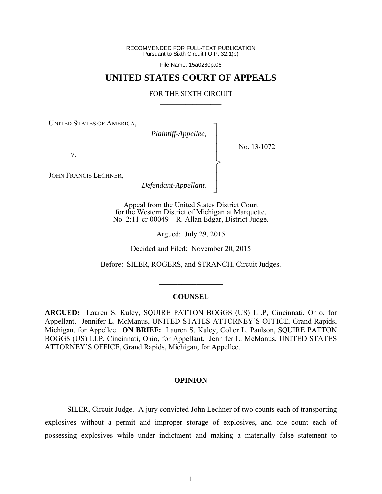RECOMMENDED FOR FULL-TEXT PUBLICATION Pursuant to Sixth Circuit I.O.P. 32.1(b)

File Name: 15a0280p.06

# **UNITED STATES COURT OF APPEALS**

#### FOR THE SIXTH CIRCUIT  $\mathcal{L}_\text{max}$

┐ │ │ │ │ │ │ │ ┘

>

UNITED STATES OF AMERICA,

*Plaintiff-Appellee*,

No. 13-1072

*v*.

JOHN FRANCIS LECHNER,

*Defendant-Appellant*.

Appeal from the United States District Court for the Western District of Michigan at Marquette. No. 2:11-cr-00049—R. Allan Edgar, District Judge.

Argued: July 29, 2015

Decided and Filed: November 20, 2015

Before: SILER, ROGERS, and STRANCH, Circuit Judges.

 $\frac{1}{2}$ 

#### **COUNSEL**

**ARGUED:** Lauren S. Kuley, SQUIRE PATTON BOGGS (US) LLP, Cincinnati, Ohio, for Appellant. Jennifer L. McManus, UNITED STATES ATTORNEY'S OFFICE, Grand Rapids, Michigan, for Appellee. **ON BRIEF:** Lauren S. Kuley, Colter L. Paulson, SQUIRE PATTON BOGGS (US) LLP, Cincinnati, Ohio, for Appellant. Jennifer L. McManus, UNITED STATES ATTORNEY'S OFFICE, Grand Rapids, Michigan, for Appellee.

#### **OPINION**

 $\frac{1}{2}$ 

 $\frac{1}{2}$ 

 SILER, Circuit Judge. A jury convicted John Lechner of two counts each of transporting explosives without a permit and improper storage of explosives, and one count each of possessing explosives while under indictment and making a materially false statement to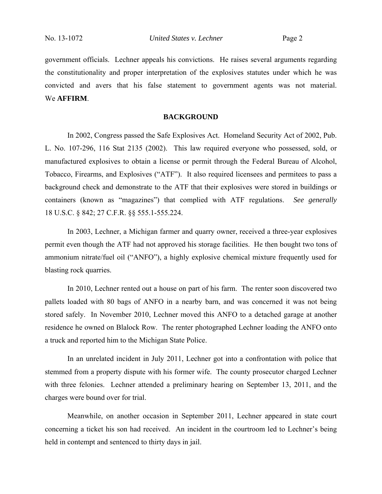government officials. Lechner appeals his convictions. He raises several arguments regarding the constitutionality and proper interpretation of the explosives statutes under which he was convicted and avers that his false statement to government agents was not material. We **AFFIRM**.

#### **BACKGROUND**

 In 2002, Congress passed the Safe Explosives Act. Homeland Security Act of 2002, Pub. L. No. 107-296, 116 Stat 2135 (2002). This law required everyone who possessed, sold, or manufactured explosives to obtain a license or permit through the Federal Bureau of Alcohol, Tobacco, Firearms, and Explosives ("ATF"). It also required licensees and permitees to pass a background check and demonstrate to the ATF that their explosives were stored in buildings or containers (known as "magazines") that complied with ATF regulations. *See generally* 18 U.S.C. § 842; 27 C.F.R. §§ 555.1-555.224.

In 2003, Lechner, a Michigan farmer and quarry owner, received a three-year explosives permit even though the ATF had not approved his storage facilities. He then bought two tons of ammonium nitrate/fuel oil ("ANFO"), a highly explosive chemical mixture frequently used for blasting rock quarries.

 In 2010, Lechner rented out a house on part of his farm. The renter soon discovered two pallets loaded with 80 bags of ANFO in a nearby barn, and was concerned it was not being stored safely. In November 2010, Lechner moved this ANFO to a detached garage at another residence he owned on Blalock Row. The renter photographed Lechner loading the ANFO onto a truck and reported him to the Michigan State Police.

 In an unrelated incident in July 2011, Lechner got into a confrontation with police that stemmed from a property dispute with his former wife. The county prosecutor charged Lechner with three felonies. Lechner attended a preliminary hearing on September 13, 2011, and the charges were bound over for trial.

 Meanwhile, on another occasion in September 2011, Lechner appeared in state court concerning a ticket his son had received. An incident in the courtroom led to Lechner's being held in contempt and sentenced to thirty days in jail.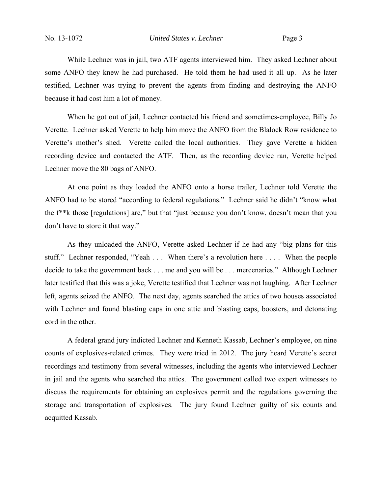While Lechner was in jail, two ATF agents interviewed him. They asked Lechner about some ANFO they knew he had purchased. He told them he had used it all up. As he later testified, Lechner was trying to prevent the agents from finding and destroying the ANFO because it had cost him a lot of money.

 When he got out of jail, Lechner contacted his friend and sometimes-employee, Billy Jo Verette. Lechner asked Verette to help him move the ANFO from the Blalock Row residence to Verette's mother's shed. Verette called the local authorities. They gave Verette a hidden recording device and contacted the ATF. Then, as the recording device ran, Verette helped Lechner move the 80 bags of ANFO.

At one point as they loaded the ANFO onto a horse trailer, Lechner told Verette the ANFO had to be stored "according to federal regulations." Lechner said he didn't "know what the f\*\*k those [regulations] are," but that "just because you don't know, doesn't mean that you don't have to store it that way."

 As they unloaded the ANFO, Verette asked Lechner if he had any "big plans for this stuff." Lechner responded, "Yeah . . . When there's a revolution here . . . . When the people decide to take the government back . . . me and you will be . . . mercenaries." Although Lechner later testified that this was a joke, Verette testified that Lechner was not laughing. After Lechner left, agents seized the ANFO. The next day, agents searched the attics of two houses associated with Lechner and found blasting caps in one attic and blasting caps, boosters, and detonating cord in the other.

 A federal grand jury indicted Lechner and Kenneth Kassab, Lechner's employee, on nine counts of explosives-related crimes. They were tried in 2012. The jury heard Verette's secret recordings and testimony from several witnesses, including the agents who interviewed Lechner in jail and the agents who searched the attics. The government called two expert witnesses to discuss the requirements for obtaining an explosives permit and the regulations governing the storage and transportation of explosives. The jury found Lechner guilty of six counts and acquitted Kassab.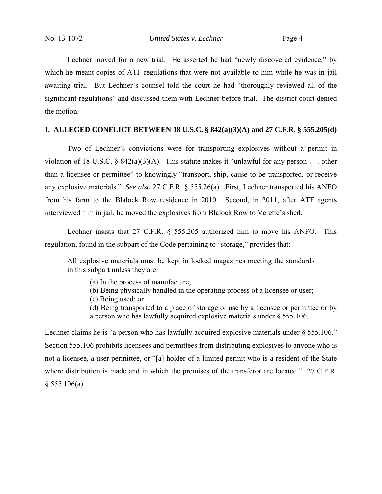Lechner moved for a new trial. He asserted he had "newly discovered evidence," by which he meant copies of ATF regulations that were not available to him while he was in jail awaiting trial. But Lechner's counsel told the court he had "thoroughly reviewed all of the significant regulations" and discussed them with Lechner before trial. The district court denied the motion.

### **I. ALLEGED CONFLICT BETWEEN 18 U.S.C. § 842(a)(3)(A) and 27 C.F.R. § 555.205(d)**

Two of Lechner's convictions were for transporting explosives without a permit in violation of 18 U.S.C. § 842(a)(3)(A). This statute makes it "unlawful for any person . . . other than a licensee or permittee" to knowingly "transport, ship, cause to be transported, or receive any explosive materials." *See also* 27 C.F.R. § 555.26(a). First, Lechner transported his ANFO from his farm to the Blalock Row residence in 2010. Second, in 2011, after ATF agents interviewed him in jail, he moved the explosives from Blalock Row to Verette's shed.

 Lechner insists that 27 C.F.R. § 555.205 authorized him to move his ANFO. This regulation, found in the subpart of the Code pertaining to "storage," provides that:

All explosive materials must be kept in locked magazines meeting the standards in this subpart unless they are:

- (a) In the process of manufacture;
- (b) Being physically handled in the operating process of a licensee or user;
- (c) Being used; or

(d) Being transported to a place of storage or use by a licensee or permittee or by a person who has lawfully acquired explosive materials under § 555.106.

Lechner claims he is "a person who has lawfully acquired explosive materials under  $\S$  555.106." Section 555.106 prohibits licensees and permittees from distributing explosives to anyone who is not a licensee, a user permittee, or "[a] holder of a limited permit who is a resident of the State where distribution is made and in which the premises of the transferor are located." 27 C.F.R.  $§$  555.106(a).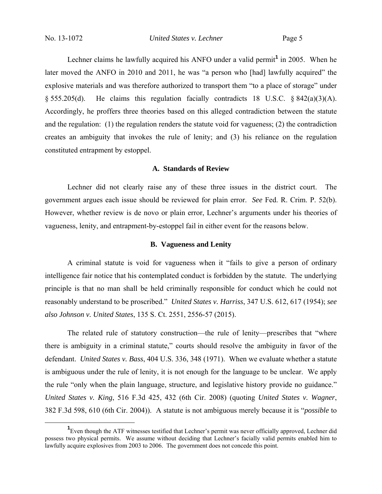Lechner claims he lawfully acquired his ANFO under a valid permit<sup>1</sup> in 2005. When he later moved the ANFO in 2010 and 2011, he was "a person who [had] lawfully acquired" the explosive materials and was therefore authorized to transport them "to a place of storage" under § 555.205(d). He claims this regulation facially contradicts 18 U.S.C. § 842(a)(3)(A). Accordingly, he proffers three theories based on this alleged contradiction between the statute and the regulation: (1) the regulation renders the statute void for vagueness; (2) the contradiction creates an ambiguity that invokes the rule of lenity; and (3) his reliance on the regulation constituted entrapment by estoppel.

### **A. Standards of Review**

Lechner did not clearly raise any of these three issues in the district court. The government argues each issue should be reviewed for plain error. *See* Fed. R. Crim. P. 52(b). However, whether review is de novo or plain error, Lechner's arguments under his theories of vagueness, lenity, and entrapment-by-estoppel fail in either event for the reasons below.

### **B. Vagueness and Lenity**

 A criminal statute is void for vagueness when it "fails to give a person of ordinary intelligence fair notice that his contemplated conduct is forbidden by the statute. The underlying principle is that no man shall be held criminally responsible for conduct which he could not reasonably understand to be proscribed." *United States v. Harriss*, 347 U.S. 612, 617 (1954); *see also Johnson v. United States*, 135 S. Ct. 2551, 2556-57 (2015).

 The related rule of statutory construction—the rule of lenity—prescribes that "where there is ambiguity in a criminal statute," courts should resolve the ambiguity in favor of the defendant. *United States v. Bass*, 404 U.S. 336, 348 (1971). When we evaluate whether a statute is ambiguous under the rule of lenity, it is not enough for the language to be unclear. We apply the rule "only when the plain language, structure, and legislative history provide no guidance." *United States v. King*, 516 F.3d 425, 432 (6th Cir. 2008) (quoting *United States v. Wagner*, 382 F.3d 598, 610 (6th Cir. 2004)). A statute is not ambiguous merely because it is "*possible* to

<sup>&</sup>lt;u>1</u> <sup>1</sup> Even though the ATF witnesses testified that Lechner's permit was never officially approved, Lechner did possess two physical permits. We assume without deciding that Lechner's facially valid permits enabled him to lawfully acquire explosives from 2003 to 2006. The government does not concede this point.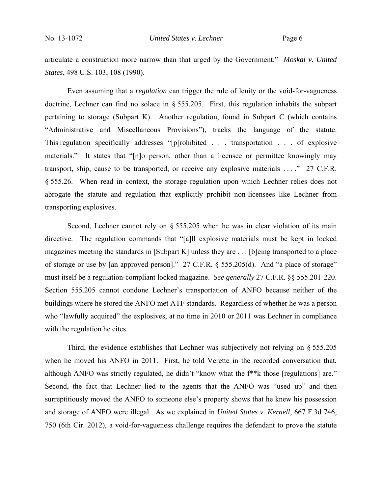articulate a construction more narrow than that urged by the Government." *Moskal v. United States*, 498 U.S. 103, 108 (1990).

Even assuming that a *regulation* can trigger the rule of lenity or the void-for-vagueness doctrine, Lechner can find no solace in § 555.205. First, this regulation inhabits the subpart pertaining to storage (Subpart K). Another regulation, found in Subpart C (which contains "Administrative and Miscellaneous Provisions"), tracks the language of the statute. This regulation specifically addresses "[p]rohibited . . . transportation . . . of explosive materials." It states that "[n]o person, other than a licensee or permittee knowingly may transport, ship, cause to be transported, or receive any explosive materials . . . ." 27 C.F.R. § 555.26. When read in context, the storage regulation upon which Lechner relies does not abrogate the statute and regulation that explicitly prohibit non-licensees like Lechner from transporting explosives.

 Second, Lechner cannot rely on § 555.205 when he was in clear violation of its main directive. The regulation commands that "[a]ll explosive materials must be kept in locked magazines meeting the standards in [Subpart K] unless they are . . . [b]eing transported to a place of storage or use by [an approved person]." 27 C.F.R. § 555.205(d). And "a place of storage" must itself be a regulation-compliant locked magazine. *See generally* 27 C.F.R. §§ 555.201-220. Section 555.205 cannot condone Lechner's transportation of ANFO because neither of the buildings where he stored the ANFO met ATF standards. Regardless of whether he was a person who "lawfully acquired" the explosives, at no time in 2010 or 2011 was Lechner in compliance with the regulation he cites.

 Third, the evidence establishes that Lechner was subjectively not relying on § 555.205 when he moved his ANFO in 2011. First, he told Verette in the recorded conversation that, although ANFO was strictly regulated, he didn't "know what the f\*\*k those [regulations] are." Second, the fact that Lechner lied to the agents that the ANFO was "used up" and then surreptitiously moved the ANFO to someone else's property shows that he knew his possession and storage of ANFO were illegal. As we explained in *United States v. Kernell*, 667 F.3d 746, 750 (6th Cir. 2012), a void-for-vagueness challenge requires the defendant to prove the statute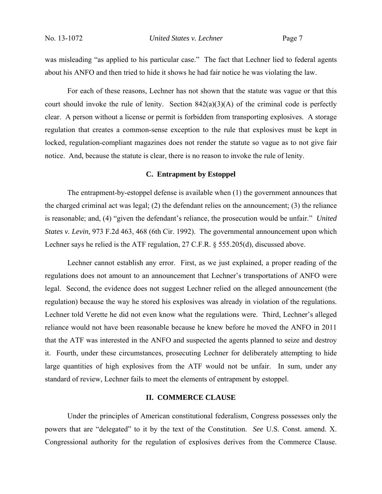was misleading "as applied to his particular case." The fact that Lechner lied to federal agents about his ANFO and then tried to hide it shows he had fair notice he was violating the law.

 For each of these reasons, Lechner has not shown that the statute was vague or that this court should invoke the rule of lenity. Section  $842(a)(3)(A)$  of the criminal code is perfectly clear. A person without a license or permit is forbidden from transporting explosives. A storage regulation that creates a common-sense exception to the rule that explosives must be kept in locked, regulation-compliant magazines does not render the statute so vague as to not give fair notice. And, because the statute is clear, there is no reason to invoke the rule of lenity.

#### **C. Entrapment by Estoppel**

 The entrapment-by-estoppel defense is available when (1) the government announces that the charged criminal act was legal; (2) the defendant relies on the announcement; (3) the reliance is reasonable; and, (4) "given the defendant's reliance, the prosecution would be unfair." *United States v. Levin*, 973 F.2d 463, 468 (6th Cir. 1992). The governmental announcement upon which Lechner says he relied is the ATF regulation, 27 C.F.R. § 555.205(d), discussed above.

Lechner cannot establish any error. First, as we just explained, a proper reading of the regulations does not amount to an announcement that Lechner's transportations of ANFO were legal. Second, the evidence does not suggest Lechner relied on the alleged announcement (the regulation) because the way he stored his explosives was already in violation of the regulations. Lechner told Verette he did not even know what the regulations were. Third, Lechner's alleged reliance would not have been reasonable because he knew before he moved the ANFO in 2011 that the ATF was interested in the ANFO and suspected the agents planned to seize and destroy it. Fourth, under these circumstances, prosecuting Lechner for deliberately attempting to hide large quantities of high explosives from the ATF would not be unfair. In sum, under any standard of review, Lechner fails to meet the elements of entrapment by estoppel.

#### **II. COMMERCE CLAUSE**

 Under the principles of American constitutional federalism, Congress possesses only the powers that are "delegated" to it by the text of the Constitution. *See* U.S. Const. amend. X. Congressional authority for the regulation of explosives derives from the Commerce Clause.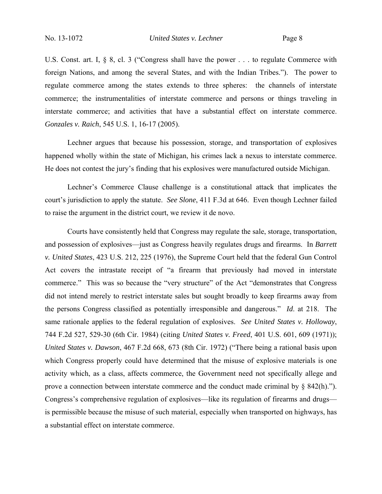U.S. Const. art. I, § 8, cl. 3 ("Congress shall have the power . . . to regulate Commerce with foreign Nations, and among the several States, and with the Indian Tribes."). The power to regulate commerce among the states extends to three spheres: the channels of interstate commerce; the instrumentalities of interstate commerce and persons or things traveling in interstate commerce; and activities that have a substantial effect on interstate commerce. *Gonzales v. Raich*, 545 U.S. 1, 16-17 (2005).

 Lechner argues that because his possession, storage, and transportation of explosives happened wholly within the state of Michigan, his crimes lack a nexus to interstate commerce. He does not contest the jury's finding that his explosives were manufactured outside Michigan.

Lechner's Commerce Clause challenge is a constitutional attack that implicates the court's jurisdiction to apply the statute. *See Slone*, 411 F.3d at 646. Even though Lechner failed to raise the argument in the district court, we review it de novo.

 Courts have consistently held that Congress may regulate the sale, storage, transportation, and possession of explosives—just as Congress heavily regulates drugs and firearms. In *Barrett v. United States*, 423 U.S. 212, 225 (1976), the Supreme Court held that the federal Gun Control Act covers the intrastate receipt of "a firearm that previously had moved in interstate commerce." This was so because the "very structure" of the Act "demonstrates that Congress did not intend merely to restrict interstate sales but sought broadly to keep firearms away from the persons Congress classified as potentially irresponsible and dangerous." *Id*. at 218. The same rationale applies to the federal regulation of explosives. *See United States v. Holloway*, 744 F.2d 527, 529-30 (6th Cir. 1984) (citing *United States v. Freed*, 401 U.S. 601, 609 (1971)); *United States v. Dawson*, 467 F.2d 668, 673 (8th Cir. 1972) ("There being a rational basis upon which Congress properly could have determined that the misuse of explosive materials is one activity which, as a class, affects commerce, the Government need not specifically allege and prove a connection between interstate commerce and the conduct made criminal by § 842(h)."). Congress's comprehensive regulation of explosives—like its regulation of firearms and drugs is permissible because the misuse of such material, especially when transported on highways, has a substantial effect on interstate commerce.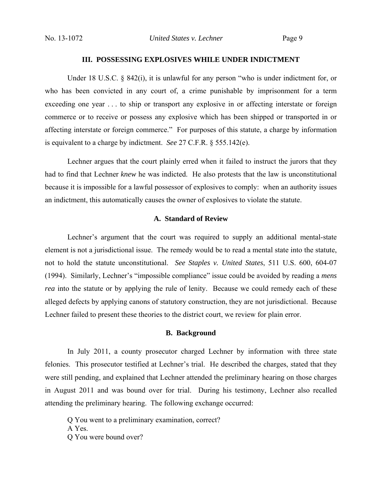# **III. POSSESSING EXPLOSIVES WHILE UNDER INDICTMENT**

 Under 18 U.S.C. § 842(i), it is unlawful for any person "who is under indictment for, or who has been convicted in any court of, a crime punishable by imprisonment for a term exceeding one year . . . to ship or transport any explosive in or affecting interstate or foreign commerce or to receive or possess any explosive which has been shipped or transported in or affecting interstate or foreign commerce." For purposes of this statute, a charge by information is equivalent to a charge by indictment. *See* 27 C.F.R. § 555.142(e).

 Lechner argues that the court plainly erred when it failed to instruct the jurors that they had to find that Lechner *knew* he was indicted. He also protests that the law is unconstitutional because it is impossible for a lawful possessor of explosives to comply: when an authority issues an indictment, this automatically causes the owner of explosives to violate the statute.

#### **A. Standard of Review**

Lechner's argument that the court was required to supply an additional mental-state element is not a jurisdictional issue. The remedy would be to read a mental state into the statute, not to hold the statute unconstitutional. *See Staples v. United States*, 511 U.S. 600, 604-07 (1994). Similarly, Lechner's "impossible compliance" issue could be avoided by reading a *mens rea* into the statute or by applying the rule of lenity. Because we could remedy each of these alleged defects by applying canons of statutory construction, they are not jurisdictional. Because Lechner failed to present these theories to the district court, we review for plain error.

### **B. Background**

 In July 2011, a county prosecutor charged Lechner by information with three state felonies. This prosecutor testified at Lechner's trial. He described the charges, stated that they were still pending, and explained that Lechner attended the preliminary hearing on those charges in August 2011 and was bound over for trial. During his testimony, Lechner also recalled attending the preliminary hearing. The following exchange occurred:

Q You went to a preliminary examination, correct? A Yes. Q You were bound over?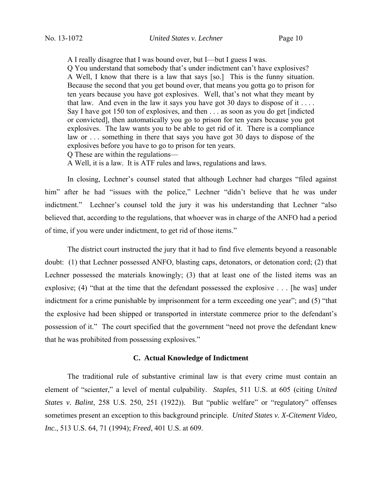A I really disagree that I was bound over, but I—but I guess I was.

Q You understand that somebody that's under indictment can't have explosives? A Well, I know that there is a law that says [so.] This is the funny situation. Because the second that you get bound over, that means you gotta go to prison for ten years because you have got explosives. Well, that's not what they meant by that law. And even in the law it says you have got 30 days to dispose of it . . . . Say I have got 150 ton of explosives, and then . . . as soon as you do get [indicted or convicted], then automatically you go to prison for ten years because you got explosives. The law wants you to be able to get rid of it. There is a compliance law or ... something in there that says you have got 30 days to dispose of the explosives before you have to go to prison for ten years.

Q These are within the regulations—

A Well, it is a law. It is ATF rules and laws, regulations and laws.

 In closing, Lechner's counsel stated that although Lechner had charges "filed against him" after he had "issues with the police," Lechner "didn't believe that he was under indictment." Lechner's counsel told the jury it was his understanding that Lechner "also believed that, according to the regulations, that whoever was in charge of the ANFO had a period of time, if you were under indictment, to get rid of those items."

 The district court instructed the jury that it had to find five elements beyond a reasonable doubt: (1) that Lechner possessed ANFO, blasting caps, detonators, or detonation cord; (2) that Lechner possessed the materials knowingly; (3) that at least one of the listed items was an explosive; (4) "that at the time that the defendant possessed the explosive . . . [he was] under indictment for a crime punishable by imprisonment for a term exceeding one year"; and (5) "that the explosive had been shipped or transported in interstate commerce prior to the defendant's possession of it." The court specified that the government "need not prove the defendant knew that he was prohibited from possessing explosives."

# **C. Actual Knowledge of Indictment**

 The traditional rule of substantive criminal law is that every crime must contain an element of "scienter," a level of mental culpability. *Staples*, 511 U.S. at 605 (citing *United States v. Balint*, 258 U.S. 250, 251 (1922)). But "public welfare" or "regulatory" offenses sometimes present an exception to this background principle. *United States v. X-Citement Video, Inc.*, 513 U.S. 64, 71 (1994); *Freed*, 401 U.S. at 609.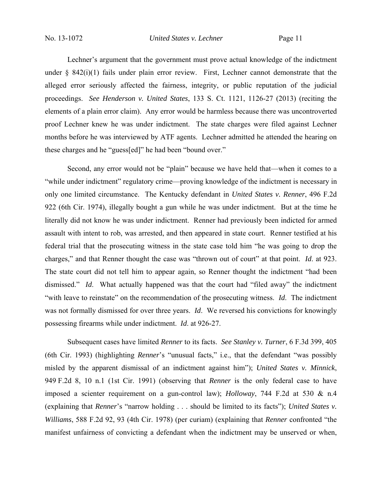Lechner's argument that the government must prove actual knowledge of the indictment under  $\frac{8}{9}$  842(i)(1) fails under plain error review. First, Lechner cannot demonstrate that the alleged error seriously affected the fairness, integrity, or public reputation of the judicial proceedings. *See Henderson v. United States*, 133 S. Ct. 1121, 1126-27 (2013) (reciting the elements of a plain error claim). Any error would be harmless because there was uncontroverted proof Lechner knew he was under indictment. The state charges were filed against Lechner months before he was interviewed by ATF agents. Lechner admitted he attended the hearing on these charges and he "guess[ed]" he had been "bound over."

 Second, any error would not be "plain" because we have held that—when it comes to a "while under indictment" regulatory crime—proving knowledge of the indictment is necessary in only one limited circumstance. The Kentucky defendant in *United States v. Renner*, 496 F.2d 922 (6th Cir. 1974), illegally bought a gun while he was under indictment. But at the time he literally did not know he was under indictment. Renner had previously been indicted for armed assault with intent to rob, was arrested, and then appeared in state court. Renner testified at his federal trial that the prosecuting witness in the state case told him "he was going to drop the charges," and that Renner thought the case was "thrown out of court" at that point. *Id*. at 923. The state court did not tell him to appear again, so Renner thought the indictment "had been dismissed." *Id*. What actually happened was that the court had "filed away" the indictment "with leave to reinstate" on the recommendation of the prosecuting witness. *Id*. The indictment was not formally dismissed for over three years. *Id*. We reversed his convictions for knowingly possessing firearms while under indictment. *Id*. at 926-27.

 Subsequent cases have limited *Renner* to its facts. *See Stanley v. Turner*, 6 F.3d 399, 405 (6th Cir. 1993) (highlighting *Renner*'s "unusual facts," i.e., that the defendant "was possibly misled by the apparent dismissal of an indictment against him"); *United States v. Minnick*, 949 F.2d 8, 10 n.1 (1st Cir. 1991) (observing that *Renner* is the only federal case to have imposed a scienter requirement on a gun-control law); *Holloway*, 744 F.2d at 530 & n.4 (explaining that *Renner*'s "narrow holding . . . should be limited to its facts"); *United States v. Williams*, 588 F.2d 92, 93 (4th Cir. 1978) (per curiam) (explaining that *Renner* confronted "the manifest unfairness of convicting a defendant when the indictment may be unserved or when,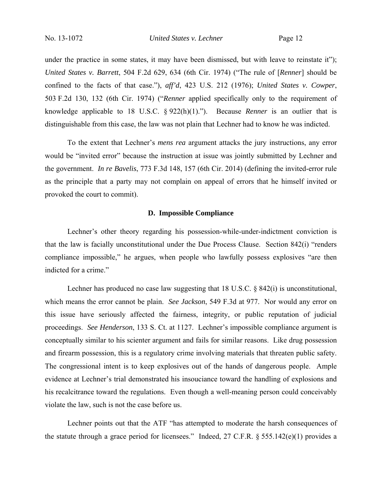under the practice in some states, it may have been dismissed, but with leave to reinstate it"); *United States v. Barrett*, 504 F.2d 629, 634 (6th Cir. 1974) ("The rule of [*Renner*] should be confined to the facts of that case."), *aff'd*, 423 U.S. 212 (1976); *United States v. Cowper*, 503 F.2d 130, 132 (6th Cir. 1974) ("*Renner* applied specifically only to the requirement of knowledge applicable to 18 U.S.C. § 922(h)(1)."). Because *Renner* is an outlier that is distinguishable from this case, the law was not plain that Lechner had to know he was indicted.

 To the extent that Lechner's *mens rea* argument attacks the jury instructions, any error would be "invited error" because the instruction at issue was jointly submitted by Lechner and the government. *In re Bavelis*, 773 F.3d 148, 157 (6th Cir. 2014) (defining the invited-error rule as the principle that a party may not complain on appeal of errors that he himself invited or provoked the court to commit).

# **D. Impossible Compliance**

 Lechner's other theory regarding his possession-while-under-indictment conviction is that the law is facially unconstitutional under the Due Process Clause. Section 842(i) "renders compliance impossible," he argues, when people who lawfully possess explosives "are then indicted for a crime."

Lechner has produced no case law suggesting that 18 U.S.C. § 842(i) is unconstitutional, which means the error cannot be plain. *See Jackson*, 549 F.3d at 977. Nor would any error on this issue have seriously affected the fairness, integrity, or public reputation of judicial proceedings. *See Henderson*, 133 S. Ct. at 1127. Lechner's impossible compliance argument is conceptually similar to his scienter argument and fails for similar reasons. Like drug possession and firearm possession, this is a regulatory crime involving materials that threaten public safety. The congressional intent is to keep explosives out of the hands of dangerous people. Ample evidence at Lechner's trial demonstrated his insouciance toward the handling of explosions and his recalcitrance toward the regulations. Even though a well-meaning person could conceivably violate the law, such is not the case before us.

 Lechner points out that the ATF "has attempted to moderate the harsh consequences of the statute through a grace period for licensees." Indeed, 27 C.F.R. § 555.142(e)(1) provides a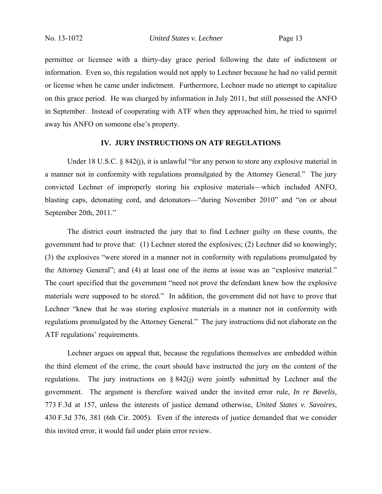permittee or licensee with a thirty-day grace period following the date of indictment or information. Even so, this regulation would not apply to Lechner because he had no valid permit or license when he came under indictment. Furthermore, Lechner made no attempt to capitalize on this grace period. He was charged by information in July 2011, but still possessed the ANFO in September. Instead of cooperating with ATF when they approached him, he tried to squirrel away his ANFO on someone else's property.

# **IV. JURY INSTRUCTIONS ON ATF REGULATIONS**

Under 18 U.S.C. § 842(j), it is unlawful "for any person to store any explosive material in a manner not in conformity with regulations promulgated by the Attorney General." The jury convicted Lechner of improperly storing his explosive materials—which included ANFO, blasting caps, detonating cord, and detonators—"during November 2010" and "on or about September 20th, 2011."

 The district court instructed the jury that to find Lechner guilty on these counts, the government had to prove that: (1) Lechner stored the explosives; (2) Lechner did so knowingly; (3) the explosives "were stored in a manner not in conformity with regulations promulgated by the Attorney General"; and (4) at least one of the items at issue was an "explosive material." The court specified that the government "need not prove the defendant knew how the explosive materials were supposed to be stored." In addition, the government did not have to prove that Lechner "knew that he was storing explosive materials in a manner not in conformity with regulations promulgated by the Attorney General." The jury instructions did not elaborate on the ATF regulations' requirements.

 Lechner argues on appeal that, because the regulations themselves are embedded within the third element of the crime, the court should have instructed the jury on the content of the regulations. The jury instructions on  $\S 842(i)$  were jointly submitted by Lechner and the government. The argument is therefore waived under the invited error rule, *In re Bavelis*, 773 F.3d at 157, unless the interests of justice demand otherwise, *United States v. Savoires*, 430 F.3d 376, 381 (6th Cir. 2005). Even if the interests of justice demanded that we consider this invited error, it would fail under plain error review.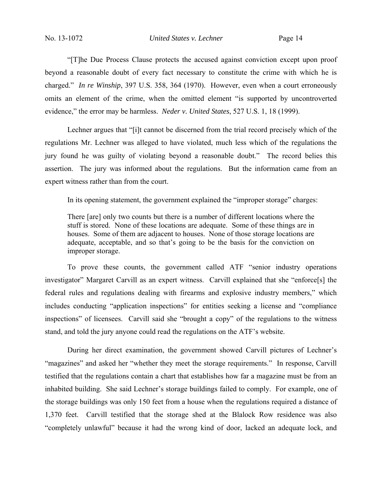"[T]he Due Process Clause protects the accused against conviction except upon proof beyond a reasonable doubt of every fact necessary to constitute the crime with which he is charged." *In re Winship*, 397 U.S. 358, 364 (1970). However, even when a court erroneously omits an element of the crime, when the omitted element "is supported by uncontroverted evidence," the error may be harmless. *Neder v. United States*, 527 U.S. 1, 18 (1999).

 Lechner argues that "[i]t cannot be discerned from the trial record precisely which of the regulations Mr. Lechner was alleged to have violated, much less which of the regulations the jury found he was guilty of violating beyond a reasonable doubt." The record belies this assertion. The jury was informed about the regulations. But the information came from an expert witness rather than from the court.

In its opening statement, the government explained the "improper storage" charges:

There [are] only two counts but there is a number of different locations where the stuff is stored. None of these locations are adequate. Some of these things are in houses. Some of them are adjacent to houses. None of those storage locations are adequate, acceptable, and so that's going to be the basis for the conviction on improper storage.

 To prove these counts, the government called ATF "senior industry operations investigator" Margaret Carvill as an expert witness. Carvill explained that she "enforce[s] the federal rules and regulations dealing with firearms and explosive industry members," which includes conducting "application inspections" for entities seeking a license and "compliance inspections" of licensees. Carvill said she "brought a copy" of the regulations to the witness stand, and told the jury anyone could read the regulations on the ATF's website.

 During her direct examination, the government showed Carvill pictures of Lechner's "magazines" and asked her "whether they meet the storage requirements." In response, Carvill testified that the regulations contain a chart that establishes how far a magazine must be from an inhabited building. She said Lechner's storage buildings failed to comply. For example, one of the storage buildings was only 150 feet from a house when the regulations required a distance of 1,370 feet. Carvill testified that the storage shed at the Blalock Row residence was also "completely unlawful" because it had the wrong kind of door, lacked an adequate lock, and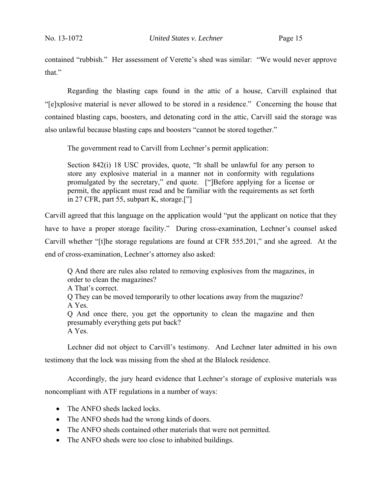contained "rubbish." Her assessment of Verette's shed was similar: "We would never approve that."

 Regarding the blasting caps found in the attic of a house, Carvill explained that "[e]xplosive material is never allowed to be stored in a residence." Concerning the house that contained blasting caps, boosters, and detonating cord in the attic, Carvill said the storage was also unlawful because blasting caps and boosters "cannot be stored together."

The government read to Carvill from Lechner's permit application:

Section 842(i) 18 USC provides, quote, "It shall be unlawful for any person to store any explosive material in a manner not in conformity with regulations promulgated by the secretary," end quote. ["]Before applying for a license or permit, the applicant must read and be familiar with the requirements as set forth in 27 CFR, part 55, subpart K, storage.["]

Carvill agreed that this language on the application would "put the applicant on notice that they have to have a proper storage facility." During cross-examination, Lechner's counsel asked Carvill whether "[t]he storage regulations are found at CFR 555.201," and she agreed. At the end of cross-examination, Lechner's attorney also asked:

Q And there are rules also related to removing explosives from the magazines, in order to clean the magazines? A That's correct. Q They can be moved temporarily to other locations away from the magazine? A Yes. Q And once there, you get the opportunity to clean the magazine and then presumably everything gets put back? A Yes.

Lechner did not object to Carvill's testimony. And Lechner later admitted in his own testimony that the lock was missing from the shed at the Blalock residence.

 Accordingly, the jury heard evidence that Lechner's storage of explosive materials was noncompliant with ATF regulations in a number of ways:

- The ANFO sheds lacked locks.
- The ANFO sheds had the wrong kinds of doors.
- The ANFO sheds contained other materials that were not permitted.
- The ANFO sheds were too close to inhabited buildings.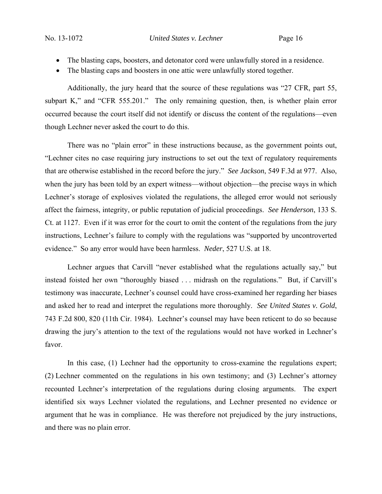- The blasting caps, boosters, and detonator cord were unlawfully stored in a residence.
- The blasting caps and boosters in one attic were unlawfully stored together.

 Additionally, the jury heard that the source of these regulations was "27 CFR, part 55, subpart K," and "CFR 555.201." The only remaining question, then, is whether plain error occurred because the court itself did not identify or discuss the content of the regulations—even though Lechner never asked the court to do this.

 There was no "plain error" in these instructions because, as the government points out, "Lechner cites no case requiring jury instructions to set out the text of regulatory requirements that are otherwise established in the record before the jury." *See Jackson*, 549 F.3d at 977. Also, when the jury has been told by an expert witness—without objection—the precise ways in which Lechner's storage of explosives violated the regulations, the alleged error would not seriously affect the fairness, integrity, or public reputation of judicial proceedings. *See Henderson*, 133 S. Ct. at 1127. Even if it was error for the court to omit the content of the regulations from the jury instructions, Lechner's failure to comply with the regulations was "supported by uncontroverted evidence." So any error would have been harmless. *Neder*, 527 U.S. at 18.

 Lechner argues that Carvill "never established what the regulations actually say," but instead foisted her own "thoroughly biased . . . midrash on the regulations." But, if Carvill's testimony was inaccurate, Lechner's counsel could have cross-examined her regarding her biases and asked her to read and interpret the regulations more thoroughly. *See United States v. Gold*, 743 F.2d 800, 820 (11th Cir. 1984). Lechner's counsel may have been reticent to do so because drawing the jury's attention to the text of the regulations would not have worked in Lechner's favor.

 In this case, (1) Lechner had the opportunity to cross-examine the regulations expert; (2) Lechner commented on the regulations in his own testimony; and (3) Lechner's attorney recounted Lechner's interpretation of the regulations during closing arguments. The expert identified six ways Lechner violated the regulations, and Lechner presented no evidence or argument that he was in compliance. He was therefore not prejudiced by the jury instructions, and there was no plain error.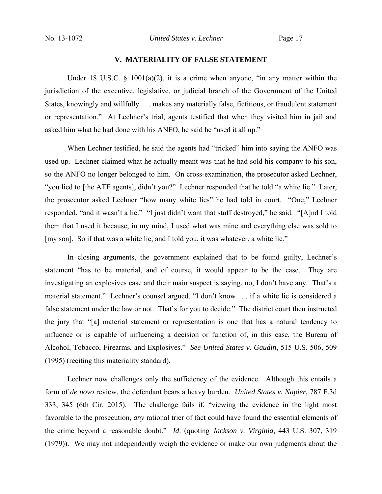# **V. MATERIALITY OF FALSE STATEMENT**

Under 18 U.S.C.  $\S$  1001(a)(2), it is a crime when anyone, "in any matter within the jurisdiction of the executive, legislative, or judicial branch of the Government of the United States, knowingly and willfully . . . makes any materially false, fictitious, or fraudulent statement or representation." At Lechner's trial, agents testified that when they visited him in jail and asked him what he had done with his ANFO, he said he "used it all up."

 When Lechner testified, he said the agents had "tricked" him into saying the ANFO was used up. Lechner claimed what he actually meant was that he had sold his company to his son, so the ANFO no longer belonged to him. On cross-examination, the prosecutor asked Lechner, "you lied to [the ATF agents], didn't you?" Lechner responded that he told "a white lie." Later, the prosecutor asked Lechner "how many white lies" he had told in court. "One," Lechner responded, "and it wasn't a lie." "I just didn't want that stuff destroyed," he said. "[A]nd I told them that I used it because, in my mind, I used what was mine and everything else was sold to [my son]. So if that was a white lie, and I told you, it was whatever, a white lie."

 In closing arguments, the government explained that to be found guilty, Lechner's statement "has to be material, and of course, it would appear to be the case. They are investigating an explosives case and their main suspect is saying, no, I don't have any. That's a material statement." Lechner's counsel argued, "I don't know . . . if a white lie is considered a false statement under the law or not. That's for you to decide." The district court then instructed the jury that "[a] material statement or representation is one that has a natural tendency to influence or is capable of influencing a decision or function of, in this case, the Bureau of Alcohol, Tobacco, Firearms, and Explosives." *See United States v. Gaudin*, 515 U.S. 506, 509 (1995) (reciting this materiality standard).

 Lechner now challenges only the sufficiency of the evidence. Although this entails a form of *de novo* review, the defendant bears a heavy burden. *United States v. Napier*, 787 F.3d 333, 345 (6th Cir. 2015). The challenge fails if, "viewing the evidence in the light most favorable to the prosecution, *any* rational trier of fact could have found the essential elements of the crime beyond a reasonable doubt." *Id*. (quoting *Jackson v. Virginia,* 443 U.S. 307, 319 (1979)). We may not independently weigh the evidence or make our own judgments about the